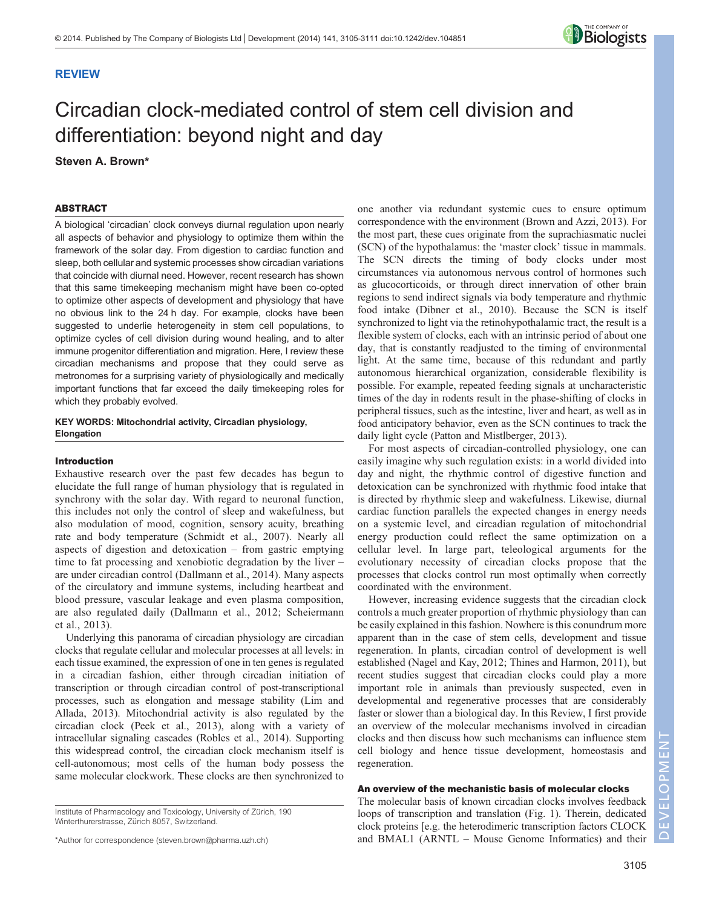# REVIEW

# Circadian clock-mediated control of stem cell division and differentiation: beyond night and day

Steven A. Brown\*

# ABSTRACT

A biological 'circadian' clock conveys diurnal regulation upon nearly all aspects of behavior and physiology to optimize them within the framework of the solar day. From digestion to cardiac function and sleep, both cellular and systemic processes show circadian variations that coincide with diurnal need. However, recent research has shown that this same timekeeping mechanism might have been co-opted to optimize other aspects of development and physiology that have no obvious link to the 24 h day. For example, clocks have been suggested to underlie heterogeneity in stem cell populations, to optimize cycles of cell division during wound healing, and to alter immune progenitor differentiation and migration. Here, I review these circadian mechanisms and propose that they could serve as metronomes for a surprising variety of physiologically and medically important functions that far exceed the daily timekeeping roles for which they probably evolved.

## KEY WORDS: Mitochondrial activity, Circadian physiology, Elongation

### Introduction

Exhaustive research over the past few decades has begun to elucidate the full range of human physiology that is regulated in synchrony with the solar day. With regard to neuronal function, this includes not only the control of sleep and wakefulness, but also modulation of mood, cognition, sensory acuity, breathing rate and body temperature ([Schmidt et al., 2007\)](#page-6-0). Nearly all aspects of digestion and detoxication – from gastric emptying time to fat processing and xenobiotic degradation by the liver – are under circadian control [\(Dallmann et al., 2014\)](#page-5-0). Many aspects of the circulatory and immune systems, including heartbeat and blood pressure, vascular leakage and even plasma composition, are also regulated daily ([Dallmann et al., 2012](#page-5-0); [Scheiermann](#page-6-0) [et al., 2013](#page-6-0)).

Underlying this panorama of circadian physiology are circadian clocks that regulate cellular and molecular processes at all levels: in each tissue examined, the expression of one in ten genes is regulated in a circadian fashion, either through circadian initiation of transcription or through circadian control of post-transcriptional processes, such as elongation and message stability ([Lim and](#page-6-0) [Allada, 2013\)](#page-6-0). Mitochondrial activity is also regulated by the circadian clock [\(Peek et al., 2013\)](#page-6-0), along with a variety of intracellular signaling cascades [\(Robles et al., 2014\)](#page-6-0). Supporting this widespread control, the circadian clock mechanism itself is cell-autonomous; most cells of the human body possess the same molecular clockwork. These clocks are then synchronized to

\*Author for correspondence (steven.brown@pharma.uzh.ch)

one another via redundant systemic cues to ensure optimum correspondence with the environment ([Brown and Azzi, 2013\)](#page-5-0). For the most part, these cues originate from the suprachiasmatic nuclei (SCN) of the hypothalamus: the 'master clock' tissue in mammals. The SCN directs the timing of body clocks under most circumstances via autonomous nervous control of hormones such as glucocorticoids, or through direct innervation of other brain regions to send indirect signals via body temperature and rhythmic food intake ([Dibner et al., 2010](#page-5-0)). Because the SCN is itself synchronized to light via the retinohypothalamic tract, the result is a flexible system of clocks, each with an intrinsic period of about one day, that is constantly readjusted to the timing of environmental light. At the same time, because of this redundant and partly autonomous hierarchical organization, considerable flexibility is possible. For example, repeated feeding signals at uncharacteristic times of the day in rodents result in the phase-shifting of clocks in peripheral tissues, such as the intestine, liver and heart, as well as in food anticipatory behavior, even as the SCN continues to track the daily light cycle ([Patton and Mistlberger, 2013](#page-6-0)).

For most aspects of circadian-controlled physiology, one can easily imagine why such regulation exists: in a world divided into day and night, the rhythmic control of digestive function and detoxication can be synchronized with rhythmic food intake that is directed by rhythmic sleep and wakefulness. Likewise, diurnal cardiac function parallels the expected changes in energy needs on a systemic level, and circadian regulation of mitochondrial energy production could reflect the same optimization on a cellular level. In large part, teleological arguments for the evolutionary necessity of circadian clocks propose that the processes that clocks control run most optimally when correctly coordinated with the environment.

However, increasing evidence suggests that the circadian clock controls a much greater proportion of rhythmic physiology than can be easily explained in this fashion. Nowhere is this conundrum more apparent than in the case of stem cells, development and tissue regeneration. In plants, circadian control of development is well established [\(Nagel and Kay, 2012; Thines and Harmon, 2011\)](#page-6-0), but recent studies suggest that circadian clocks could play a more important role in animals than previously suspected, even in developmental and regenerative processes that are considerably faster or slower than a biological day. In this Review, I first provide an overview of the molecular mechanisms involved in circadian clocks and then discuss how such mechanisms can influence stem cell biology and hence tissue development, homeostasis and regeneration.

### An overview of the mechanistic basis of molecular clocks

The molecular basis of known circadian clocks involves feedback loops of transcription and translation [\(Fig. 1](#page-1-0)). Therein, dedicated clock proteins [e.g. the heterodimeric transcription factors CLOCK and BMAL1 (ARNTL – Mouse Genome Informatics) and their  $\leq$ 



Institute of Pharmacology and Toxicology, University of Zürich, 190 Winterthurerstrasse, Zürich 8057, Switzerland.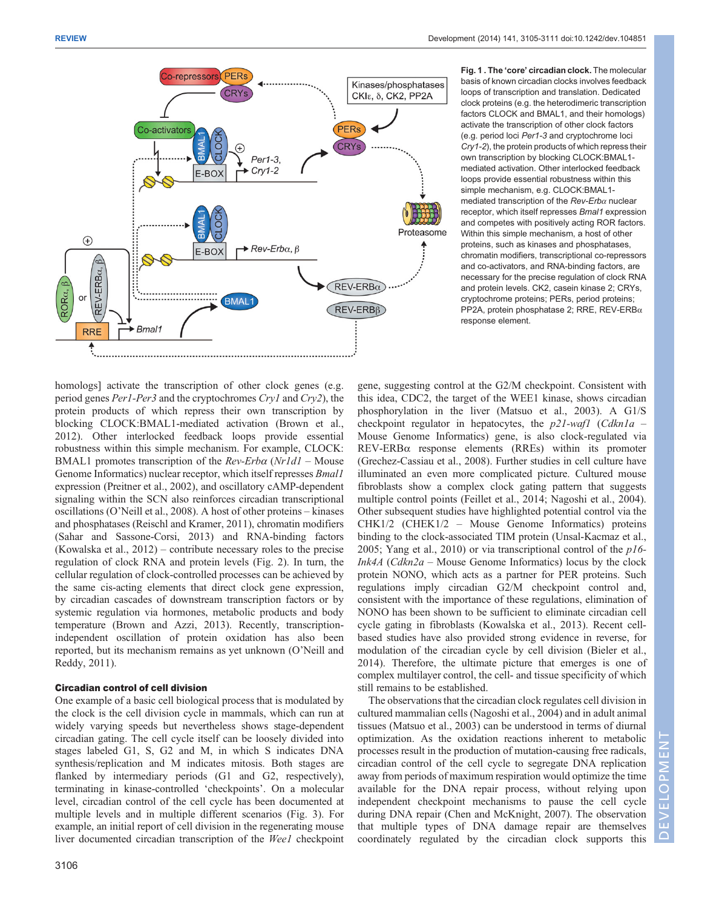<span id="page-1-0"></span>

Fig. 1 . The 'core' circadian clock. The molecular basis of known circadian clocks involves feedback loops of transcription and translation. Dedicated clock proteins (e.g. the heterodimeric transcription factors CLOCK and BMAL1, and their homologs) activate the transcription of other clock factors (e.g. period loci Per1-3 and cryptochrome loci Cry1-2), the protein products of which repress their own transcription by blocking CLOCK:BMAL1 mediated activation. Other interlocked feedback loops provide essential robustness within this simple mechanism, e.g. CLOCK:BMAL1 mediated transcription of the Rev-Erb $\alpha$  nuclear receptor, which itself represses Bmal1 expression and competes with positively acting ROR factors. Within this simple mechanism, a host of other proteins, such as kinases and phosphatases, chromatin modifiers, transcriptional co-repressors and co-activators, and RNA-binding factors, are necessary for the precise regulation of clock RNA and protein levels. CK2, casein kinase 2; CRYs, cryptochrome proteins; PERs, period proteins; PP2A, protein phosphatase 2; RRE, REV-ERBα response element.

homologs] activate the transcription of other clock genes (e.g. period genes Per1-Per3 and the cryptochromes Cry1 and Cry2), the protein products of which repress their own transcription by blocking CLOCK:BMAL1-mediated activation ([Brown et al.,](#page-5-0) [2012](#page-5-0)). Other interlocked feedback loops provide essential robustness within this simple mechanism. For example, CLOCK: BMAL1 promotes transcription of the  $Rev-Erb\alpha$  ( $Nrld1$  – Mouse Genome Informatics) nuclear receptor, which itself represses Bmal1 expression [\(Preitner et al., 2002](#page-6-0)), and oscillatory cAMP-dependent signaling within the SCN also reinforces circadian transcriptional oscillations (O'[Neill et al., 2008\)](#page-6-0). A host of other proteins – kinases and phosphatases ([Reischl and Kramer, 2011\)](#page-6-0), chromatin modifiers [\(Sahar and Sassone-Corsi, 2013\)](#page-6-0) and RNA-binding factors [\(Kowalska et al., 2012](#page-6-0)) – contribute necessary roles to the precise regulation of clock RNA and protein levels ([Fig. 2](#page-2-0)). In turn, the cellular regulation of clock-controlled processes can be achieved by the same cis-acting elements that direct clock gene expression, by circadian cascades of downstream transcription factors or by systemic regulation via hormones, metabolic products and body temperature [\(Brown and Azzi, 2013\)](#page-5-0). Recently, transcriptionindependent oscillation of protein oxidation has also been reported, but its mechanism remains as yet unknown (O'[Neill and](#page-6-0) [Reddy, 2011](#page-6-0)).

### Circadian control of cell division

One example of a basic cell biological process that is modulated by the clock is the cell division cycle in mammals, which can run at widely varying speeds but nevertheless shows stage-dependent circadian gating. The cell cycle itself can be loosely divided into stages labeled G1, S, G2 and M, in which S indicates DNA synthesis/replication and M indicates mitosis. Both stages are flanked by intermediary periods (G1 and G2, respectively), terminating in kinase-controlled 'checkpoints'. On a molecular level, circadian control of the cell cycle has been documented at multiple levels and in multiple different scenarios [\(Fig. 3](#page-3-0)). For example, an initial report of cell division in the regenerating mouse liver documented circadian transcription of the Weel checkpoint

3106

gene, suggesting control at the G2/M checkpoint. Consistent with this idea, CDC2, the target of the WEE1 kinase, shows circadian phosphorylation in the liver [\(Matsuo et al., 2003](#page-6-0)). A G1/S checkpoint regulator in hepatocytes, the  $p21$ -wafl (Cdkn1a – Mouse Genome Informatics) gene, is also clock-regulated via REV-ERBα response elements (RREs) within its promoter [\(Grechez-Cassiau et al., 2008](#page-5-0)). Further studies in cell culture have illuminated an even more complicated picture. Cultured mouse fibroblasts show a complex clock gating pattern that suggests multiple control points [\(Feillet et al., 2014](#page-5-0); [Nagoshi et al., 2004\)](#page-6-0). Other subsequent studies have highlighted potential control via the CHK1/2 (CHEK1/2 – Mouse Genome Informatics) proteins binding to the clock-associated TIM protein ([Unsal-Kacmaz et al.,](#page-6-0) [2005; Yang et al., 2010](#page-6-0)) or via transcriptional control of the  $p16$ - $Ink4A (Cdkn2a - Mouse Genome Informatics)$  locus by the clock protein NONO, which acts as a partner for PER proteins. Such regulations imply circadian G2/M checkpoint control and, consistent with the importance of these regulations, elimination of NONO has been shown to be sufficient to eliminate circadian cell cycle gating in fibroblasts [\(Kowalska et al., 2013\)](#page-6-0). Recent cellbased studies have also provided strong evidence in reverse, for modulation of the circadian cycle by cell division [\(Bieler et al.,](#page-5-0) [2014\)](#page-5-0). Therefore, the ultimate picture that emerges is one of complex multilayer control, the cell- and tissue specificity of which still remains to be established.

The observations that the circadian clock regulates cell division in cultured mammalian cells [\(Nagoshi et al., 2004\)](#page-6-0) and in adult animal tissues ([Matsuo et al., 2003](#page-6-0)) can be understood in terms of diurnal optimization. As the oxidation reactions inherent to metabolic processes result in the production of mutation-causing free radicals, circadian control of the cell cycle to segregate DNA replication away from periods of maximum respiration would optimize the time available for the DNA repair process, without relying upon independent checkpoint mechanisms to pause the cell cycle during DNA repair ([Chen and McKnight, 2007\)](#page-5-0). The observation that multiple types of DNA damage repair are themselves coordinately regulated by the circadian clock supports this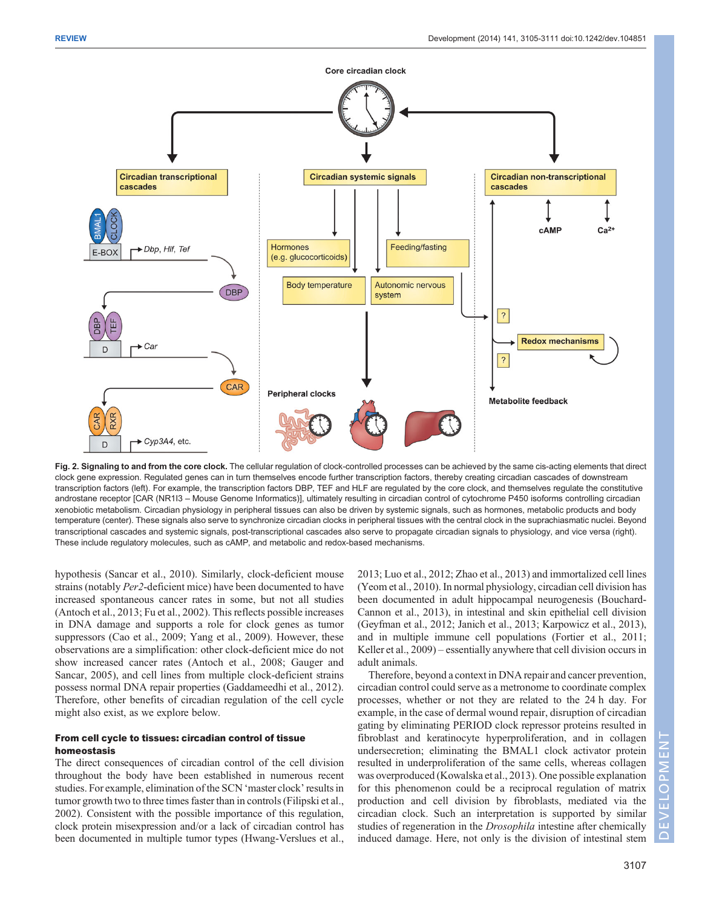<span id="page-2-0"></span>

Fig. 2. Signaling to and from the core clock. The cellular regulation of clock-controlled processes can be achieved by the same cis-acting elements that direct clock gene expression. Regulated genes can in turn themselves encode further transcription factors, thereby creating circadian cascades of downstream transcription factors (left). For example, the transcription factors DBP, TEF and HLF are regulated by the core clock, and themselves regulate the constitutive androstane receptor [CAR (NR1I3 – Mouse Genome Informatics)], ultimately resulting in circadian control of cytochrome P450 isoforms controlling circadian xenobiotic metabolism. Circadian physiology in peripheral tissues can also be driven by systemic signals, such as hormones, metabolic products and body temperature (center). These signals also serve to synchronize circadian clocks in peripheral tissues with the central clock in the suprachiasmatic nuclei. Beyond transcriptional cascades and systemic signals, post-transcriptional cascades also serve to propagate circadian signals to physiology, and vice versa (right). These include regulatory molecules, such as cAMP, and metabolic and redox-based mechanisms.

hypothesis ([Sancar et al., 2010\)](#page-6-0). Similarly, clock-deficient mouse strains (notably Per2-deficient mice) have been documented to have increased spontaneous cancer rates in some, but not all studies [\(Antoch et al., 2013; Fu et al., 2002](#page-5-0)). This reflects possible increases in DNA damage and supports a role for clock genes as tumor suppressors [\(Cao et al., 2009;](#page-5-0) [Yang et al., 2009\)](#page-6-0). However, these observations are a simplification: other clock-deficient mice do not show increased cancer rates [\(Antoch et al., 2008; Gauger and](#page-5-0) [Sancar, 2005](#page-5-0)), and cell lines from multiple clock-deficient strains possess normal DNA repair properties ([Gaddameedhi et al., 2012\)](#page-5-0). Therefore, other benefits of circadian regulation of the cell cycle might also exist, as we explore below.

# From cell cycle to tissues: circadian control of tissue homeostasis

The direct consequences of circadian control of the cell division throughout the body have been established in numerous recent studies. For example, elimination of the SCN 'master clock' results in tumor growth two to three times faster than in controls [\(Filipski et al.,](#page-5-0) [2002\)](#page-5-0). Consistent with the possible importance of this regulation, clock protein misexpression and/or a lack of circadian control has been documented in multiple tumor types [\(Hwang-Verslues et al.,](#page-5-0) [2013;](#page-5-0) [Luo et al., 2012](#page-6-0); [Zhao et al., 2013](#page-6-0)) and immortalized cell lines [\(Yeom et al., 2010\)](#page-6-0). In normal physiology, circadian cell division has been documented in adult hippocampal neurogenesis ([Bouchard-](#page-5-0)[Cannon et al., 2013\)](#page-5-0), in intestinal and skin epithelial cell division [\(Geyfman et al., 2012](#page-5-0); [Janich et al., 2013](#page-6-0); [Karpowicz et al., 2013\)](#page-6-0), and in multiple immune cell populations ([Fortier et al., 2011](#page-5-0); [Keller et al., 2009](#page-6-0)) – essentially anywhere that cell division occurs in adult animals.

Therefore, beyond a context in DNA repair and cancer prevention, circadian control could serve as a metronome to coordinate complex processes, whether or not they are related to the 24 h day. For example, in the case of dermal wound repair, disruption of circadian gating by eliminating PERIOD clock repressor proteins resulted in fibroblast and keratinocyte hyperproliferation, and in collagen undersecretion; eliminating the BMAL1 clock activator protein resulted in underproliferation of the same cells, whereas collagen was overproduced [\(Kowalska et al., 2013](#page-6-0)). One possible explanation for this phenomenon could be a reciprocal regulation of matrix production and cell division by fibroblasts, mediated via the circadian clock. Such an interpretation is supported by similar studies of regeneration in the *Drosophila* intestine after chemically induced damage. Here, not only is the division of intestinal stem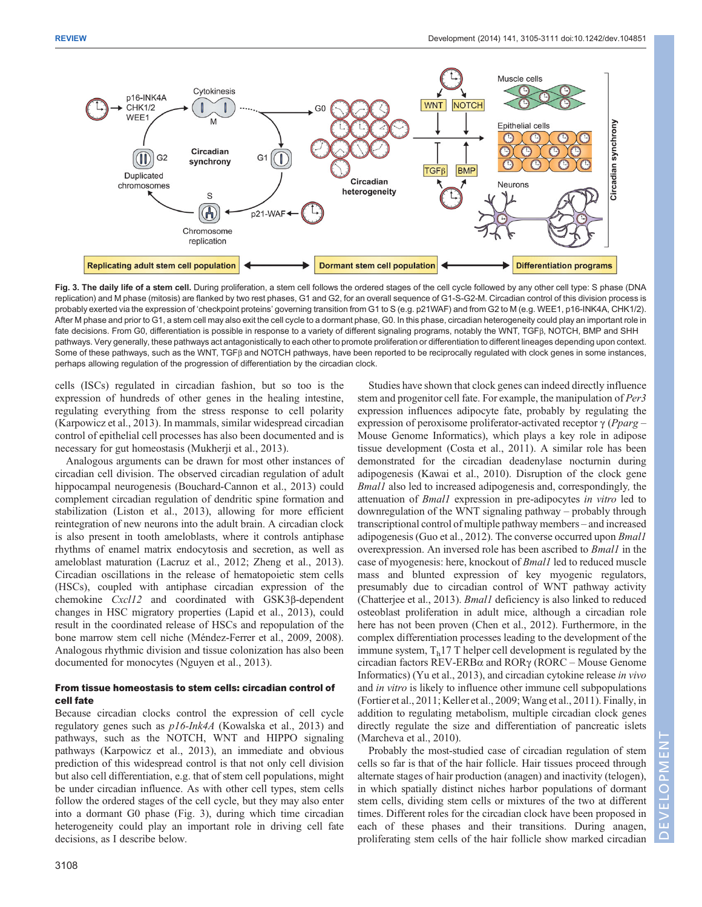<span id="page-3-0"></span>

Fig. 3. The daily life of a stem cell. During proliferation, a stem cell follows the ordered stages of the cell cycle followed by any other cell type: S phase (DNA replication) and M phase (mitosis) are flanked by two rest phases, G1 and G2, for an overall sequence of G1-S-G2-M. Circadian control of this division process is probably exerted via the expression of 'checkpoint proteins' governing transition from G1 to S (e.g. p21WAF) and from G2 to M (e.g. WEE1, p16-INK4A, CHK1/2). After M phase and prior to G1, a stem cell may also exit the cell cycle to a dormant phase, G0. In this phase, circadian heterogeneity could play an important role in fate decisions. From G0, differentiation is possible in response to a variety of different signaling programs, notably the WNT, TGFβ, NOTCH, BMP and SHH pathways. Very generally, these pathways act antagonistically to each other to promote proliferation or differentiation to different lineages depending upon context. Some of these pathways, such as the WNT, TGFβ and NOTCH pathways, have been reported to be reciprocally regulated with clock genes in some instances, perhaps allowing regulation of the progression of differentiation by the circadian clock.

cells (ISCs) regulated in circadian fashion, but so too is the expression of hundreds of other genes in the healing intestine, regulating everything from the stress response to cell polarity [\(Karpowicz et al., 2013](#page-6-0)). In mammals, similar widespread circadian control of epithelial cell processes has also been documented and is necessary for gut homeostasis ([Mukherji et al., 2013\)](#page-6-0).

Analogous arguments can be drawn for most other instances of circadian cell division. The observed circadian regulation of adult hippocampal neurogenesis ([Bouchard-Cannon et al., 2013\)](#page-5-0) could complement circadian regulation of dendritic spine formation and stabilization ([Liston et al., 2013](#page-6-0)), allowing for more efficient reintegration of new neurons into the adult brain. A circadian clock is also present in tooth ameloblasts, where it controls antiphase rhythms of enamel matrix endocytosis and secretion, as well as ameloblast maturation ([Lacruz et al., 2012; Zheng et al., 2013\)](#page-6-0). Circadian oscillations in the release of hematopoietic stem cells (HSCs), coupled with antiphase circadian expression of the chemokine Cxcl12 and coordinated with GSK3β-dependent changes in HSC migratory properties ([Lapid et al., 2013\)](#page-6-0), could result in the coordinated release of HSCs and repopulation of the bone marrow stem cell niche ([Méndez-Ferrer et al., 2009, 2008\)](#page-6-0). Analogous rhythmic division and tissue colonization has also been documented for monocytes [\(Nguyen et al., 2013](#page-6-0)).

# From tissue homeostasis to stem cells: circadian control of cell fate

Because circadian clocks control the expression of cell cycle regulatory genes such as p16-Ink4A [\(Kowalska et al., 2013\)](#page-6-0) and pathways, such as the NOTCH, WNT and HIPPO signaling pathways ([Karpowicz et al., 2013](#page-6-0)), an immediate and obvious prediction of this widespread control is that not only cell division but also cell differentiation, e.g. that of stem cell populations, might be under circadian influence. As with other cell types, stem cells follow the ordered stages of the cell cycle, but they may also enter into a dormant G0 phase (Fig. 3), during which time circadian heterogeneity could play an important role in driving cell fate decisions, as I describe below.

3108

Studies have shown that clock genes can indeed directly influence stem and progenitor cell fate. For example, the manipulation of Per3 expression influences adipocyte fate, probably by regulating the expression of peroxisome proliferator-activated receptor  $\gamma$  (*Pparg –* Mouse Genome Informatics), which plays a key role in adipose tissue development ([Costa et al., 2011](#page-5-0)). A similar role has been demonstrated for the circadian deadenylase nocturnin during adipogenesis ([Kawai et al., 2010\)](#page-6-0). Disruption of the clock gene Bmal1 also led to increased adipogenesis and, correspondingly, the attenuation of Bmal1 expression in pre-adipocytes in vitro led to downregulation of the WNT signaling pathway – probably through transcriptional control of multiple pathway members – and increased adipogenesis ([Guo et al., 2012\)](#page-5-0). The converse occurred upon Bmal1 overexpression. An inversed role has been ascribed to Bmal1 in the case of myogenesis: here, knockout of Bmal1 led to reduced muscle mass and blunted expression of key myogenic regulators, presumably due to circadian control of WNT pathway activity [\(Chatterjee et al., 2013](#page-5-0)). Bmal1 deficiency is also linked to reduced osteoblast proliferation in adult mice, although a circadian role here has not been proven ([Chen et al., 2012](#page-5-0)). Furthermore, in the complex differentiation processes leading to the development of the immune system,  $T<sub>h</sub>17$  T helper cell development is regulated by the circadian factors REV-ERBα and RORγ (RORC – Mouse Genome Informatics) [\(Yu et al., 2013\)](#page-6-0), and circadian cytokine release in vivo and in vitro is likely to influence other immune cell subpopulations [\(Fortier et al., 2011;](#page-5-0) [Keller et al., 2009](#page-6-0); [Wang et al., 2011](#page-6-0)). Finally, in addition to regulating metabolism, multiple circadian clock genes directly regulate the size and differentiation of pancreatic islets [\(Marcheva et al., 2010](#page-6-0)).

Probably the most-studied case of circadian regulation of stem cells so far is that of the hair follicle. Hair tissues proceed through alternate stages of hair production (anagen) and inactivity (telogen), in which spatially distinct niches harbor populations of dormant stem cells, dividing stem cells or mixtures of the two at different times. Different roles for the circadian clock have been proposed in each of these phases and their transitions. During anagen, proliferating stem cells of the hair follicle show marked circadian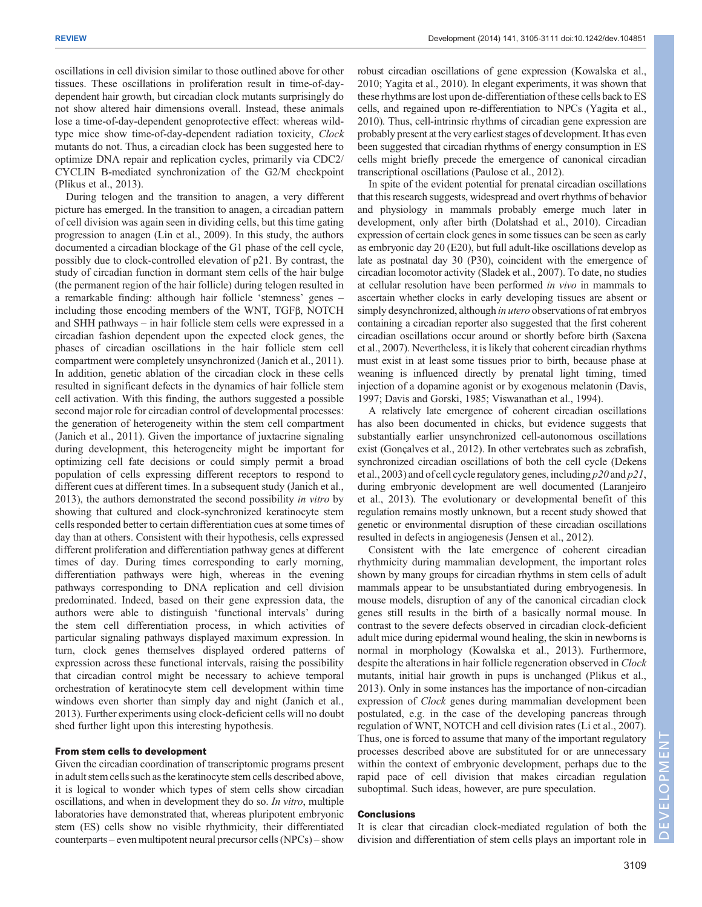oscillations in cell division similar to those outlined above for other tissues. These oscillations in proliferation result in time-of-daydependent hair growth, but circadian clock mutants surprisingly do not show altered hair dimensions overall. Instead, these animals lose a time-of-day-dependent genoprotective effect: whereas wildtype mice show time-of-day-dependent radiation toxicity, Clock mutants do not. Thus, a circadian clock has been suggested here to optimize DNA repair and replication cycles, primarily via CDC2/ CYCLIN B-mediated synchronization of the G2/M checkpoint [\(Plikus et al., 2013\)](#page-6-0).

During telogen and the transition to anagen, a very different picture has emerged. In the transition to anagen, a circadian pattern of cell division was again seen in dividing cells, but this time gating progression to anagen ([Lin et al., 2009\)](#page-6-0). In this study, the authors documented a circadian blockage of the G1 phase of the cell cycle, possibly due to clock-controlled elevation of p21. By contrast, the study of circadian function in dormant stem cells of the hair bulge (the permanent region of the hair follicle) during telogen resulted in a remarkable finding: although hair follicle 'stemness' genes – including those encoding members of the WNT, TGFβ, NOTCH and SHH pathways – in hair follicle stem cells were expressed in a circadian fashion dependent upon the expected clock genes, the phases of circadian oscillations in the hair follicle stem cell compartment were completely unsynchronized (Janich et al., 2011). In addition, genetic ablation of the circadian clock in these cells resulted in significant defects in the dynamics of hair follicle stem cell activation. With this finding, the authors suggested a possible second major role for circadian control of developmental processes: the generation of heterogeneity within the stem cell compartment [\(Janich et al., 2011\)](#page-5-0). Given the importance of juxtacrine signaling during development, this heterogeneity might be important for optimizing cell fate decisions or could simply permit a broad population of cells expressing different receptors to respond to different cues at different times. In a subsequent study ([Janich et al.,](#page-6-0) [2013](#page-6-0)), the authors demonstrated the second possibility in vitro by showing that cultured and clock-synchronized keratinocyte stem cells responded better to certain differentiation cues at some times of day than at others. Consistent with their hypothesis, cells expressed different proliferation and differentiation pathway genes at different times of day. During times corresponding to early morning, differentiation pathways were high, whereas in the evening pathways corresponding to DNA replication and cell division predominated. Indeed, based on their gene expression data, the authors were able to distinguish 'functional intervals' during the stem cell differentiation process, in which activities of particular signaling pathways displayed maximum expression. In turn, clock genes themselves displayed ordered patterns of expression across these functional intervals, raising the possibility that circadian control might be necessary to achieve temporal orchestration of keratinocyte stem cell development within time windows even shorter than simply day and night ([Janich et al.,](#page-6-0) [2013](#page-6-0)). Further experiments using clock-deficient cells will no doubt shed further light upon this interesting hypothesis.

## From stem cells to development

Given the circadian coordination of transcriptomic programs present in adult stem cells such as the keratinocyte stem cells described above, it is logical to wonder which types of stem cells show circadian oscillations, and when in development they do so. In vitro, multiple laboratories have demonstrated that, whereas pluripotent embryonic stem (ES) cells show no visible rhythmicity, their differentiated counterparts – even multipotent neural precursor cells (NPCs) – show

robust circadian oscillations of gene expression [\(Kowalska et al.,](#page-6-0) [2010; Yagita et al., 2010\)](#page-6-0). In elegant experiments, it was shown that these rhythms are lost upon de-differentiation of these cells back to ES cells, and regained upon re-differentiation to NPCs [\(Yagita et al.,](#page-6-0) [2010\)](#page-6-0). Thus, cell-intrinsic rhythms of circadian gene expression are probably present at the very earliest stages of development. It has even been suggested that circadian rhythms of energy consumption in ES cells might briefly precede the emergence of canonical circadian transcriptional oscillations ([Paulose et al., 2012](#page-6-0)).

In spite of the evident potential for prenatal circadian oscillations that this research suggests, widespread and overt rhythms of behavior and physiology in mammals probably emerge much later in development, only after birth [\(Dolatshad et al., 2010\)](#page-5-0). Circadian expression of certain clock genes in some tissues can be seen as early as embryonic day 20 (E20), but full adult-like oscillations develop as late as postnatal day 30 (P30), coincident with the emergence of circadian locomotor activity [\(Sladek et al., 2007\)](#page-6-0). To date, no studies at cellular resolution have been performed in vivo in mammals to ascertain whether clocks in early developing tissues are absent or simply desynchronized, although *in utero* observations of rat embryos containing a circadian reporter also suggested that the first coherent circadian oscillations occur around or shortly before birth [\(Saxena](#page-6-0) [et al., 2007](#page-6-0)). Nevertheless, it is likely that coherent circadian rhythms must exist in at least some tissues prior to birth, because phase at weaning is influenced directly by prenatal light timing, timed injection of a dopamine agonist or by exogenous melatonin [\(Davis,](#page-5-0) [1997; Davis and Gorski, 1985](#page-5-0); [Viswanathan et al., 1994](#page-6-0)).

A relatively late emergence of coherent circadian oscillations has also been documented in chicks, but evidence suggests that substantially earlier unsynchronized cell-autonomous oscillations exist ([Gonçalves et al., 2012\)](#page-5-0). In other vertebrates such as zebrafish, synchronized circadian oscillations of both the cell cycle [\(Dekens](#page-5-0) [et al., 2003\)](#page-5-0) and of cell cycle regulatory genes, including  $p20$  and  $p21$ , during embryonic development are well documented ([Laranjeiro](#page-6-0) [et al., 2013\)](#page-6-0). The evolutionary or developmental benefit of this regulation remains mostly unknown, but a recent study showed that genetic or environmental disruption of these circadian oscillations resulted in defects in angiogenesis [\(Jensen et al., 2012\)](#page-6-0).

Consistent with the late emergence of coherent circadian rhythmicity during mammalian development, the important roles shown by many groups for circadian rhythms in stem cells of adult mammals appear to be unsubstantiated during embryogenesis. In mouse models, disruption of any of the canonical circadian clock genes still results in the birth of a basically normal mouse. In contrast to the severe defects observed in circadian clock-deficient adult mice during epidermal wound healing, the skin in newborns is normal in morphology [\(Kowalska et al., 2013\)](#page-6-0). Furthermore, despite the alterations in hair follicle regeneration observed in *Clock* mutants, initial hair growth in pups is unchanged [\(Plikus et al.,](#page-6-0) [2013\)](#page-6-0). Only in some instances has the importance of non-circadian expression of Clock genes during mammalian development been postulated, e.g. in the case of the developing pancreas through regulation of WNT, NOTCH and cell division rates ([Li et al., 2007\)](#page-6-0). Thus, one is forced to assume that many of the important regulatory processes described above are substituted for or are unnecessary within the context of embryonic development, perhaps due to the rapid pace of cell division that makes circadian regulation suboptimal. Such ideas, however, are pure speculation.

# Conclusions

It is clear that circadian clock-mediated regulation of both the division and differentiation of stem cells plays an important role in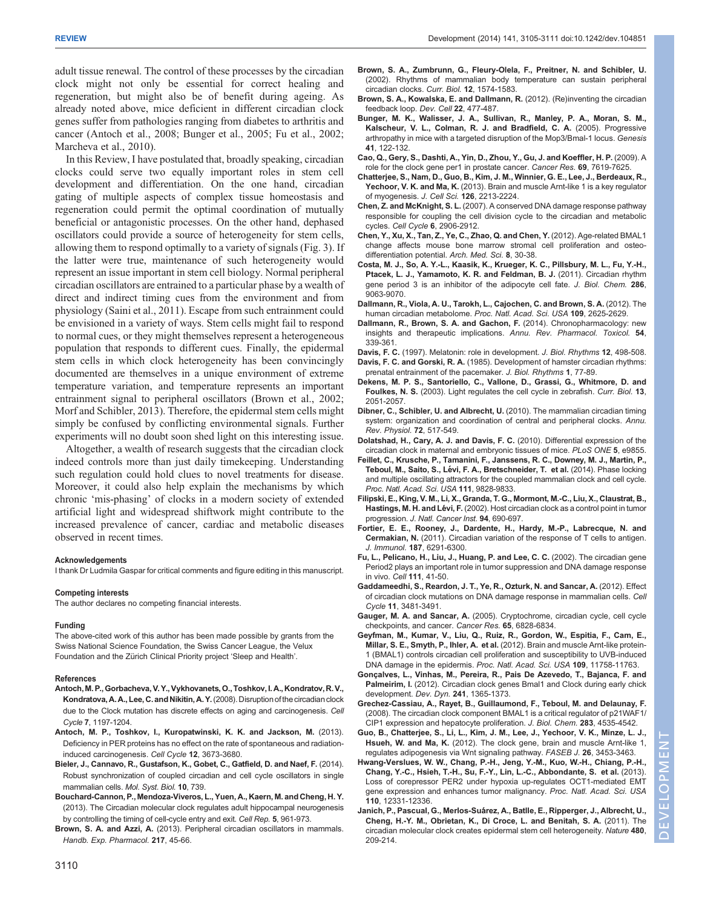<span id="page-5-0"></span>adult tissue renewal. The control of these processes by the circadian clock might not only be essential for correct healing and regeneration, but might also be of benefit during ageing. As already noted above, mice deficient in different circadian clock genes suffer from pathologies ranging from diabetes to arthritis and cancer (Antoch et al., 2008; Bunger et al., 2005; Fu et al., 2002; [Marcheva et al., 2010\)](#page-6-0).

In this Review, I have postulated that, broadly speaking, circadian clocks could serve two equally important roles in stem cell development and differentiation. On the one hand, circadian gating of multiple aspects of complex tissue homeostasis and regeneration could permit the optimal coordination of mutually beneficial or antagonistic processes. On the other hand, dephased oscillators could provide a source of heterogeneity for stem cells, allowing them to respond optimally to a variety of signals [\(Fig. 3\)](#page-3-0). If the latter were true, maintenance of such heterogeneity would represent an issue important in stem cell biology. Normal peripheral circadian oscillators are entrained to a particular phase by a wealth of direct and indirect timing cues from the environment and from physiology ([Saini et al., 2011](#page-6-0)). Escape from such entrainment could be envisioned in a variety of ways. Stem cells might fail to respond to normal cues, or they might themselves represent a heterogeneous population that responds to different cues. Finally, the epidermal stem cells in which clock heterogeneity has been convincingly documented are themselves in a unique environment of extreme temperature variation, and temperature represents an important entrainment signal to peripheral oscillators (Brown et al., 2002; [Morf and Schibler, 2013](#page-6-0)). Therefore, the epidermal stem cells might simply be confused by conflicting environmental signals. Further experiments will no doubt soon shed light on this interesting issue.

Altogether, a wealth of research suggests that the circadian clock indeed controls more than just daily timekeeping. Understanding such regulation could hold clues to novel treatments for disease. Moreover, it could also help explain the mechanisms by which chronic 'mis-phasing' of clocks in a modern society of extended artificial light and widespread shiftwork might contribute to the increased prevalence of cancer, cardiac and metabolic diseases observed in recent times.

#### Acknowledgements

I thank Dr Ludmila Gaspar for critical comments and figure editing in this manuscript.

#### Competing interests

The author declares no competing financial interests.

#### Funding

The above-cited work of this author has been made possible by grants from the Swiss National Science Foundation, the Swiss Cancer League, the Velux Foundation and the Zürich Clinical Priority project 'Sleep and Health'.

#### References

- [Antoch,M.P., Gorbacheva, V. Y., Vykhovanets, O., Toshkov, I. A., Kondratov, R.V.,](http://dx.doi.org/10.4161/cc.7.9.5886) [Kondratova, A. A., Lee, C. and Nikitin, A.Y.](http://dx.doi.org/10.4161/cc.7.9.5886)(2008). Disruption ofthe circadian clock [due to the Clock mutation has discrete effects on aging and carcinogenesis.](http://dx.doi.org/10.4161/cc.7.9.5886) Cell Cycle 7[, 1197-1204.](http://dx.doi.org/10.4161/cc.7.9.5886)
- [Antoch, M. P., Toshkov, I., Kuropatwinski, K. K. and Jackson, M.](http://dx.doi.org/10.4161/cc.26614) (2013). [Deficiency in PER proteins has no effect on the rate of spontaneous and radiation](http://dx.doi.org/10.4161/cc.26614)[induced carcinogenesis.](http://dx.doi.org/10.4161/cc.26614) Cell Cycle 12, 3673-3680.
- [Bieler, J., Cannavo, R., Gustafson, K., Gobet, C., Gatfield, D. and Naef, F.](http://dx.doi.org/10.15252/msb.20145218) (2014). [Robust synchronization of coupled circadian and cell cycle oscillators in single](http://dx.doi.org/10.15252/msb.20145218) [mammalian cells.](http://dx.doi.org/10.15252/msb.20145218) Mol. Syst. Biol. 10, 739.
- [Bouchard-Cannon, P., Mendoza-Viveros, L., Yuen, A., Kaern, M. and Cheng, H. Y.](http://dx.doi.org/10.1016/j.celrep.2013.10.037) [\(2013\). The Circadian molecular clock regulates adult hippocampal neurogenesis](http://dx.doi.org/10.1016/j.celrep.2013.10.037) [by controlling the timing of cell-cycle entry and exit.](http://dx.doi.org/10.1016/j.celrep.2013.10.037) Cell Rep. 5, 961-973.
- Brown, S. A. and Azzi, A. [\(2013\). Peripheral circadian oscillators in mammals.](http://dx.doi.org/10.1007/978-3-642-25950-0_3) [Handb. Exp. Pharmacol.](http://dx.doi.org/10.1007/978-3-642-25950-0_3) 217, 45-66.
- [Brown, S. A., Zumbrunn, G., Fleury-Olela, F., Preitner, N. and Schibler, U.](http://dx.doi.org/10.1016/S0960-9822(02)01145-4) [\(2002\). Rhythms of mammalian body temperature can sustain peripheral](http://dx.doi.org/10.1016/S0960-9822(02)01145-4) [circadian clocks.](http://dx.doi.org/10.1016/S0960-9822(02)01145-4) Curr. Biol. 12, 1574-1583.
- [Brown, S. A., Kowalska, E. and Dallmann, R.](http://dx.doi.org/10.1016/j.devcel.2012.02.007) (2012). (Re)inventing the circadian [feedback loop.](http://dx.doi.org/10.1016/j.devcel.2012.02.007) Dev. Cell 22, 477-487.
- [Bunger, M. K., Walisser, J. A., Sullivan, R., Manley, P. A., Moran, S. M.,](http://dx.doi.org/10.1002/gene.20102) [Kalscheur, V. L., Colman, R. J. and Bradfield, C. A.](http://dx.doi.org/10.1002/gene.20102) (2005). Progressive [arthropathy in mice with a targeted disruption of the Mop3/Bmal-1 locus.](http://dx.doi.org/10.1002/gene.20102) Genesis 41[, 122-132.](http://dx.doi.org/10.1002/gene.20102)
- [Cao, Q., Gery, S., Dashti, A., Yin, D., Zhou, Y., Gu, J. and Koeffler, H. P.](http://dx.doi.org/10.1158/0008-5472.CAN-08-4199) (2009). A [role for the clock gene per1 in prostate cancer.](http://dx.doi.org/10.1158/0008-5472.CAN-08-4199) Cancer Res. 69, 7619-7625.
- [Chatterjee, S., Nam, D., Guo, B., Kim, J. M., Winnier, G. E., Lee, J., Berdeaux, R.,](http://dx.doi.org/10.1242/jcs.120519) Yechoor, V. K. and Ma, K. [\(2013\). Brain and muscle Arnt-like 1 is a key regulator](http://dx.doi.org/10.1242/jcs.120519) [of myogenesis.](http://dx.doi.org/10.1242/jcs.120519) J. Cell Sci. 126, 2213-2224.
- Chen, Z. and McKnight, S. L. [\(2007\). A conserved DNA damage response pathway](http://dx.doi.org/10.4161/cc.6.23.5041) [responsible for coupling the cell division cycle to the circadian and metabolic](http://dx.doi.org/10.4161/cc.6.23.5041) cycles. Cell Cycle 6[, 2906-2912.](http://dx.doi.org/10.4161/cc.6.23.5041)
- [Chen, Y., Xu, X., Tan, Z., Ye, C., Zhao, Q. and Chen, Y.](http://dx.doi.org/10.5114/aoms.2012.27277) (2012). Age-related BMAL1 [change affects mouse bone marrow stromal cell proliferation and osteo](http://dx.doi.org/10.5114/aoms.2012.27277)[differentiation potential.](http://dx.doi.org/10.5114/aoms.2012.27277) Arch. Med. Sci. 8, 30-38.
- [Costa, M. J., So, A. Y.-L., Kaasik, K., Krueger, K. C., Pillsbury, M. L., Fu, Y.-H.,](http://dx.doi.org/10.1074/jbc.M110.164558) [Ptacek, L. J., Yamamoto, K. R. and Feldman, B. J.](http://dx.doi.org/10.1074/jbc.M110.164558) (2011). Circadian rhythm [gene period 3 is an inhibitor of the adipocyte cell fate.](http://dx.doi.org/10.1074/jbc.M110.164558) J. Biol. Chem. 286, [9063-9070.](http://dx.doi.org/10.1074/jbc.M110.164558)
- [Dallmann, R., Viola, A. U., Tarokh, L., Cajochen, C. and Brown, S. A.](http://dx.doi.org/10.1073/pnas.1114410109) (2012). The [human circadian metabolome.](http://dx.doi.org/10.1073/pnas.1114410109) Proc. Natl. Acad. Sci. USA 109, 2625-2629.
- [Dallmann, R., Brown, S. A. and Gachon, F.](http://dx.doi.org/10.1146/annurev-pharmtox-011613-135923) (2014). Chronopharmacology: new [insights and therapeutic implications.](http://dx.doi.org/10.1146/annurev-pharmtox-011613-135923) Annu. Rev. Pharmacol. Toxicol. 54, [339-361.](http://dx.doi.org/10.1146/annurev-pharmtox-011613-135923)
- Davis, F. C. [\(1997\). Melatonin: role in development.](http://dx.doi.org/10.1177/074873049701200603) J. Biol. Rhythms 12, 498-508. Davis, F. C. and Gorski, R. A. [\(1985\). Development of hamster circadian rhythms:](http://dx.doi.org/10.1177/074873048600100108)
- [prenatal entrainment of the pacemaker.](http://dx.doi.org/10.1177/074873048600100108) J. Biol. Rhythms 1, 77-89. [Dekens, M. P. S., Santoriello, C., Vallone, D., Grassi, G., Whitmore, D. and](http://dx.doi.org/10.1016/j.cub.2003.10.022)
- Foulkes, N. S. [\(2003\). Light regulates the cell cycle in zebrafish.](http://dx.doi.org/10.1016/j.cub.2003.10.022) Curr. Biol. 13, [2051-2057.](http://dx.doi.org/10.1016/j.cub.2003.10.022)
- [Dibner, C., Schibler, U. and Albrecht, U.](http://dx.doi.org/10.1146/annurev-physiol-021909-135821) (2010). The mammalian circadian timing [system: organization and coordination of central and peripheral clocks.](http://dx.doi.org/10.1146/annurev-physiol-021909-135821) Annu. [Rev. Physiol.](http://dx.doi.org/10.1146/annurev-physiol-021909-135821) 72, 517-549.
- [Dolatshad, H., Cary, A. J. and Davis, F. C.](http://dx.doi.org/10.1371/journal.pone.0009855) (2010). Differential expression of the [circadian clock in maternal and embryonic tissues of mice.](http://dx.doi.org/10.1371/journal.pone.0009855) PLoS ONE 5, e9855.
- [Feillet, C., Krusche, P., Tamanini, F., Janssens, R. C., Downey, M. J., Martin, P.,](http://dx.doi.org/10.1073/pnas.1320474111) Teboul, M., Saito, S., Lé[vi, F. A., Bretschneider, T. et al.](http://dx.doi.org/10.1073/pnas.1320474111) (2014). Phase locking [and multiple oscillating attractors for the coupled mammalian clock and cell cycle.](http://dx.doi.org/10.1073/pnas.1320474111) [Proc. Natl. Acad. Sci. USA](http://dx.doi.org/10.1073/pnas.1320474111) 111, 9828-9833.
- [Filipski, E., King, V. M., Li, X., Granda, T. G., Mormont, M.-C., Liu, X., Claustrat, B.,](http://dx.doi.org/10.1093/jnci/94.9.690) Hastings, M. H. and Lévi, F. [\(2002\). Host circadian clock as a control point in tumor](http://dx.doi.org/10.1093/jnci/94.9.690) progression. [J. Natl. Cancer Inst.](http://dx.doi.org/10.1093/jnci/94.9.690) 94, 690-697.
- [Fortier, E. E., Rooney, J., Dardente, H., Hardy, M.-P., Labrecque, N. and](http://dx.doi.org/10.4049/jimmunol.1004030) Cermakian, N. [\(2011\). Circadian variation of the response of T cells to antigen.](http://dx.doi.org/10.4049/jimmunol.1004030) J. Immunol. 187[, 6291-6300.](http://dx.doi.org/10.4049/jimmunol.1004030)
- [Fu, L., Pelicano, H., Liu, J., Huang, P. and Lee, C. C.](http://dx.doi.org/10.1016/S0092-8674(02)00961-3) (2002). The circadian gene [Period2 plays an important role in tumor suppression and DNA damage response](http://dx.doi.org/10.1016/S0092-8674(02)00961-3) in vivo. Cell 111[, 41-50.](http://dx.doi.org/10.1016/S0092-8674(02)00961-3)
- [Gaddameedhi, S., Reardon, J. T., Ye, R., Ozturk, N. and Sancar, A.](http://dx.doi.org/10.4161/cc.21771) (2012). Effect [of circadian clock mutations on DNA damage response in mammalian cells.](http://dx.doi.org/10.4161/cc.21771) Cell Cycle 11[, 3481-3491.](http://dx.doi.org/10.4161/cc.21771)
- Gauger, M. A. and Sancar, A. [\(2005\). Cryptochrome, circadian cycle, cell cycle](http://dx.doi.org/10.1158/0008-5472.CAN-05-1119) [checkpoints, and cancer.](http://dx.doi.org/10.1158/0008-5472.CAN-05-1119) Cancer Res. 65, 6828-6834.
- [Geyfman, M., Kumar, V., Liu, Q., Ruiz, R., Gordon, W., Espitia, F., Cam, E.,](http://dx.doi.org/10.1073/pnas.1209592109) Millar, S. E., Smyth, P., Ihler, A. et al. [\(2012\). Brain and muscle Arnt-like protein-](http://dx.doi.org/10.1073/pnas.1209592109)[1 \(BMAL1\) controls circadian cell proliferation and susceptibility to UVB-induced](http://dx.doi.org/10.1073/pnas.1209592109) [DNA damage in the epidermis.](http://dx.doi.org/10.1073/pnas.1209592109) Proc. Natl. Acad. Sci. USA 109, 11758-11763.
- [Gonçalves, L., Vinhas, M., Pereira, R., Pais De Azevedo, T., Bajanca, F. and](http://dx.doi.org/10.1002/dvdy.23821) Palmeirim, I. [\(2012\). Circadian clock genes Bmal1 and Clock during early chick](http://dx.doi.org/10.1002/dvdy.23821) [development.](http://dx.doi.org/10.1002/dvdy.23821) Dev. Dyn. 241, 1365-1373.
- [Grechez-Cassiau, A., Rayet, B., Guillaumond, F., Teboul, M. and Delaunay, F.](http://dx.doi.org/10.1074/jbc.M705576200) [\(2008\). The circadian clock component BMAL1 is a critical regulator of p21WAF1/](http://dx.doi.org/10.1074/jbc.M705576200) [CIP1 expression and hepatocyte proliferation.](http://dx.doi.org/10.1074/jbc.M705576200) J. Biol. Chem. 283, 4535-4542.
- [Guo, B., Chatterjee, S., Li, L., Kim, J. M., Lee, J., Yechoor, V. K., Minze, L. J.,](http://dx.doi.org/10.1096/fj.12-205781) Hsueh, W. and Ma, K. [\(2012\). The clock gene, brain and muscle Arnt-like 1,](http://dx.doi.org/10.1096/fj.12-205781) [regulates adipogenesis via Wnt signaling pathway.](http://dx.doi.org/10.1096/fj.12-205781) FASEB J. 26, 3453-3463.
- [Hwang-Verslues, W. W., Chang, P.-H., Jeng, Y.-M., Kuo, W.-H., Chiang, P.-H.,](http://dx.doi.org/10.1073/pnas.1222684110) [Chang, Y.-C., Hsieh, T.-H., Su, F.-Y., Lin, L.-C., Abbondante, S. et al.](http://dx.doi.org/10.1073/pnas.1222684110) (2013). [Loss of corepressor PER2 under hypoxia up-regulates OCT1-mediated EMT](http://dx.doi.org/10.1073/pnas.1222684110) [gene expression and enhances tumor malignancy.](http://dx.doi.org/10.1073/pnas.1222684110) Proc. Natl. Acad. Sci. USA 110[, 12331-12336.](http://dx.doi.org/10.1073/pnas.1222684110)
- Janich, P., Pascual, G., Merlos-Suá[rez, A., Batlle, E., Ripperger, J., Albrecht, U.,](http://dx.doi.org/10.1038/nature10649) [Cheng, H.-Y. M., Obrietan, K., Di Croce, L. and Benitah, S. A.](http://dx.doi.org/10.1038/nature10649) (2011). The [circadian molecular clock creates epidermal stem cell heterogeneity.](http://dx.doi.org/10.1038/nature10649) Nature 480, [209-214.](http://dx.doi.org/10.1038/nature10649)